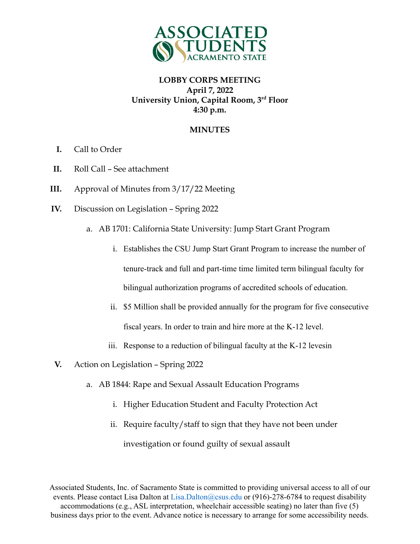

#### **MINUTES**

- **I.** Call to Order
- **II.** Roll Call See attachment
- **III.** Approval of Minutes from 3/17/22 Meeting
- **IV.** Discussion on Legislation Spring 2022
	- a. AB 1701: California State University: Jump Start Grant Program
		- i. Establishes the CSU Jump Start Grant Program to increase the number of tenure-track and full and part-time time limited term bilingual faculty for bilingual authorization programs of accredited schools of education.
		- ii. \$5 Million shall be provided annually for the program for five consecutive fiscal years. In order to train and hire more at the K-12 level.
		- iii. Response to a reduction of bilingual faculty at the K-12 levesin
- **V.** Action on Legislation Spring 2022
	- a. AB 1844: Rape and Sexual Assault Education Programs
		- i. Higher Education Student and Faculty Protection Act
		- ii. Require faculty/staff to sign that they have not been under

investigation or found guilty of sexual assault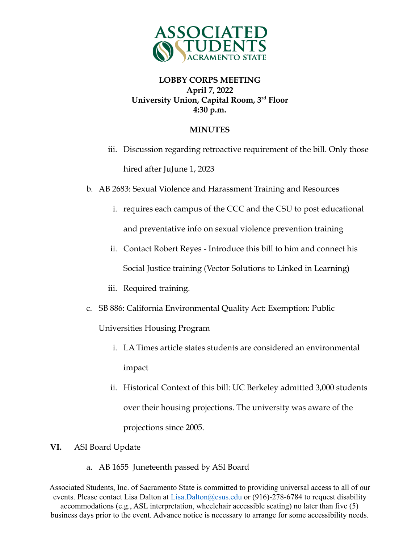

### **MINUTES**

- iii. Discussion regarding retroactive requirement of the bill. Only those hired after JuJune 1, 2023
- b. AB 2683: Sexual Violence and Harassment Training and Resources
	- i. requires each campus of the CCC and the CSU to post educational and preventative info on sexual violence prevention training
	- ii. Contact Robert Reyes Introduce this bill to him and connect his Social Justice training (Vector Solutions to Linked in Learning)
	- iii. Required training.
- c. SB 886: California Environmental Quality Act: Exemption: Public

Universities Housing Program

- i. LA Times article states students are considered an environmental impact
- ii. Historical Context of this bill: UC Berkeley admitted 3,000 students over their housing projections. The university was aware of the projections since 2005.

#### **VI.** ASI Board Update

a. AB 1655 Juneteenth passed by ASI Board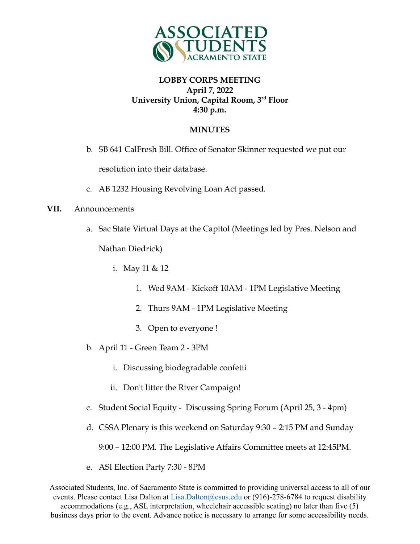

## **MINUTES**

- b. SB 641 CalFresh Bill. Office of Senator Skinner requested we put our resolution into their database.
- c. AB 1232 Housing Revolving Loan Act passed.

#### **VII.** Announcements

a. Sac State Virtual Days at the Capitol (Meetings led by Pres. Nelson and

Nathan Diedrick)

i. May 11 & 12

- 1. Wed 9AM Kickoff 10AM 1PM Legislative Meeting
- 2. Thurs 9AM 1PM Legislative Meeting
- 3. Open to everyone !
- b. April 11 Green Team 2 3PM
	- i. Discussing biodegradable confetti
	- ii. Don't litter the River Campaign!
- c. Student Social Equity Discussing Spring Forum (April 25, 3 4pm)
- d. CSSA Plenary is this weekend on Saturday 9:30 2:15 PM and Sunday

9:00 – 12:00 PM. The Legislative Affairs Committee meets at 12:45PM.

e. ASI Election Party 7:30 - 8PM